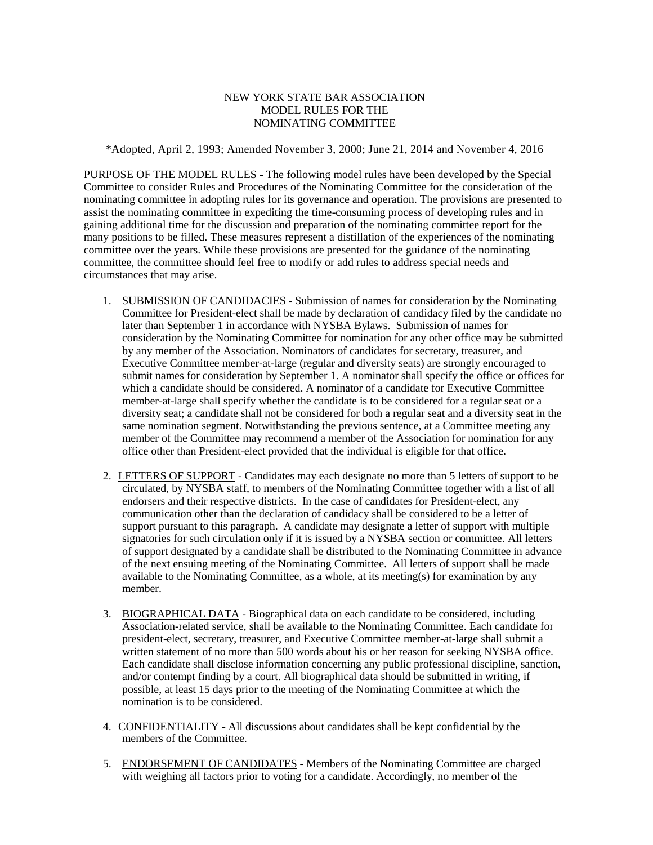## NEW YORK STATE BAR ASSOCIATION MODEL RULES FOR THE NOMINATING COMMITTEE

\*Adopted, April 2, 1993; Amended November 3, 2000; June 21, 2014 and November 4, 2016

PURPOSE OF THE MODEL RULES - The following model rules have been developed by the Special Committee to consider Rules and Procedures of the Nominating Committee for the consideration of the nominating committee in adopting rules for its governance and operation. The provisions are presented to assist the nominating committee in expediting the time-consuming process of developing rules and in gaining additional time for the discussion and preparation of the nominating committee report for the many positions to be filled. These measures represent a distillation of the experiences of the nominating committee over the years. While these provisions are presented for the guidance of the nominating committee, the committee should feel free to modify or add rules to address special needs and circumstances that may arise.

- 1. SUBMISSION OF CANDIDACIES Submission of names for consideration by the Nominating Committee for President-elect shall be made by declaration of candidacy filed by the candidate no later than September 1 in accordance with NYSBA Bylaws. Submission of names for consideration by the Nominating Committee for nomination for any other office may be submitted by any member of the Association. Nominators of candidates for secretary, treasurer, and Executive Committee member-at-large (regular and diversity seats) are strongly encouraged to submit names for consideration by September 1. A nominator shall specify the office or offices for which a candidate should be considered. A nominator of a candidate for Executive Committee member-at-large shall specify whether the candidate is to be considered for a regular seat or a diversity seat; a candidate shall not be considered for both a regular seat and a diversity seat in the same nomination segment. Notwithstanding the previous sentence, at a Committee meeting any member of the Committee may recommend a member of the Association for nomination for any office other than President-elect provided that the individual is eligible for that office.
- 2. LETTERS OF SUPPORT Candidates may each designate no more than 5 letters of support to be circulated, by NYSBA staff, to members of the Nominating Committee together with a list of all endorsers and their respective districts. In the case of candidates for President-elect, any communication other than the declaration of candidacy shall be considered to be a letter of support pursuant to this paragraph. A candidate may designate a letter of support with multiple signatories for such circulation only if it is issued by a NYSBA section or committee. All letters of support designated by a candidate shall be distributed to the Nominating Committee in advance of the next ensuing meeting of the Nominating Committee. All letters of support shall be made available to the Nominating Committee, as a whole, at its meeting(s) for examination by any member.
- 3. BIOGRAPHICAL DATA Biographical data on each candidate to be considered, including Association-related service, shall be available to the Nominating Committee. Each candidate for president-elect, secretary, treasurer, and Executive Committee member-at-large shall submit a written statement of no more than 500 words about his or her reason for seeking NYSBA office. Each candidate shall disclose information concerning any public professional discipline, sanction, and/or contempt finding by a court. All biographical data should be submitted in writing, if possible, at least 15 days prior to the meeting of the Nominating Committee at which the nomination is to be considered.
- 4. CONFIDENTIALITY All discussions about candidates shall be kept confidential by the members of the Committee.
- 5. ENDORSEMENT OF CANDIDATES Members of the Nominating Committee are charged with weighing all factors prior to voting for a candidate. Accordingly, no member of the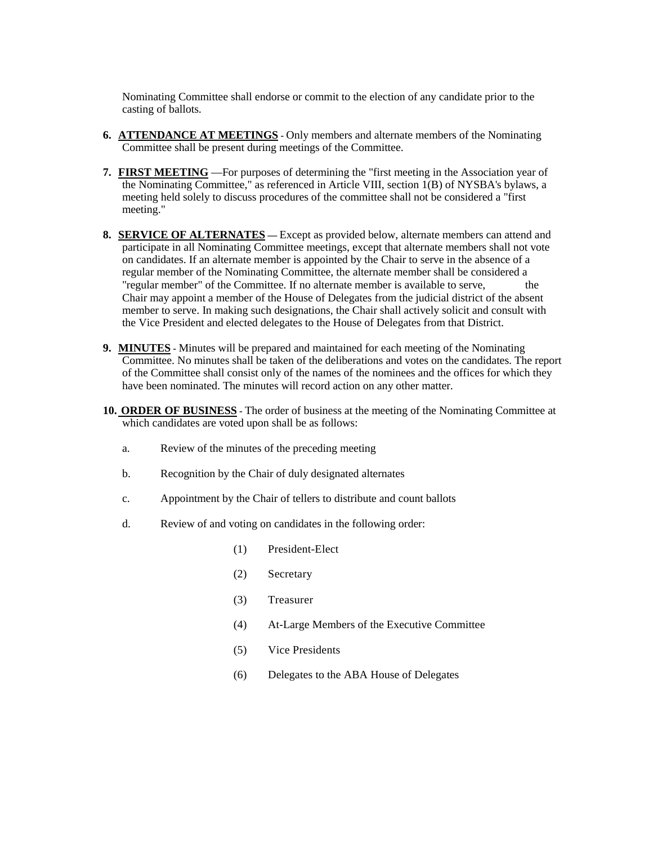Nominating Committee shall endorse or commit to the election of any candidate prior to the casting of ballots.

- **6. ATTENDANCE AT MEETINGS -** Only members and alternate members of the Nominating Committee shall be present during meetings of the Committee.
- **7. FIRST MEETING** —For purposes of determining the "first meeting in the Association year of the Nominating Committee," as referenced in Article VIII, section 1(B) of NYSBA's bylaws, a meeting held solely to discuss procedures of the committee shall not be considered a "first meeting."
- **8. SERVICE OF ALTERNATES —** Except as provided below, alternate members can attend and participate in all Nominating Committee meetings, except that alternate members shall not vote on candidates. If an alternate member is appointed by the Chair to serve in the absence of a regular member of the Nominating Committee, the alternate member shall be considered a "regular member" of the Committee. If no alternate member is available to serve, the Chair may appoint a member of the House of Delegates from the judicial district of the absent member to serve. In making such designations, the Chair shall actively solicit and consult with the Vice President and elected delegates to the House of Delegates from that District.
- **9. MINUTES -** Minutes will be prepared and maintained for each meeting of the Nominating Committee. No minutes shall be taken of the deliberations and votes on the candidates. The report of the Committee shall consist only of the names of the nominees and the offices for which they have been nominated. The minutes will record action on any other matter.
- **10. ORDER OF BUSINESS -** The order of business at the meeting of the Nominating Committee at which candidates are voted upon shall be as follows:
	- a. Review of the minutes of the preceding meeting
	- b. Recognition by the Chair of duly designated alternates
	- c. Appointment by the Chair of tellers to distribute and count ballots
	- d. Review of and voting on candidates in the following order:
		- (1) President-Elect
		- (2) Secretary
		- (3) Treasurer
		- (4) At-Large Members of the Executive Committee
		- (5) Vice Presidents
		- (6) Delegates to the ABA House of Delegates